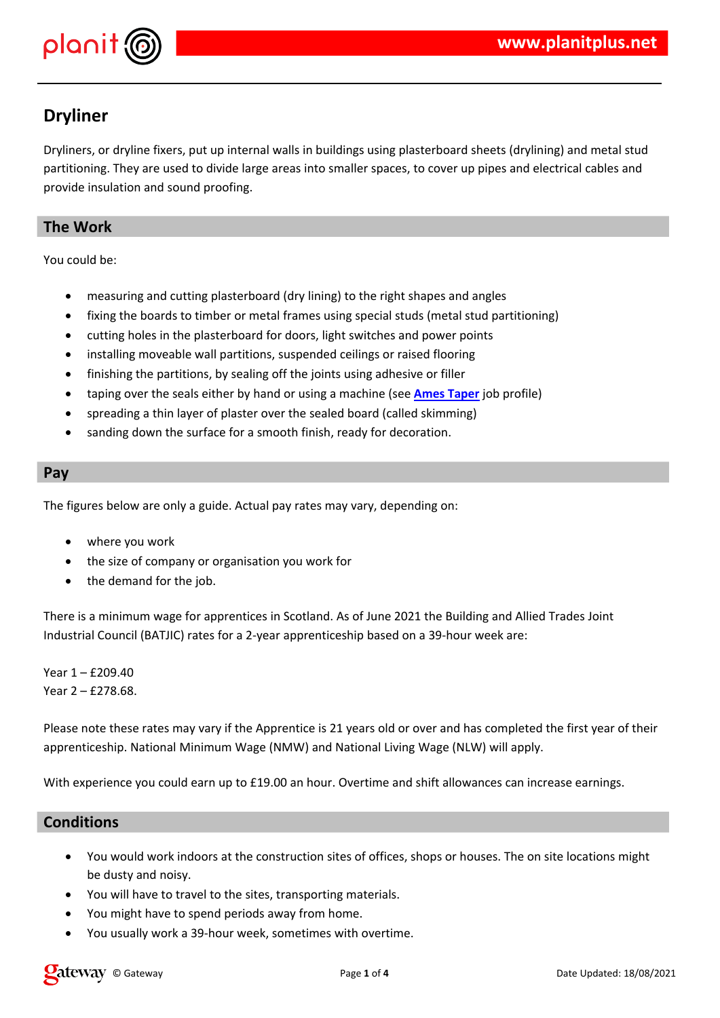|                                                            | # $\sqrt[4]{ }$<br>$\%$                                                                        | $\%$<br>$\#$                       | п,                                                                                                                                                                                                                                                                                               | & & %                                                               | $\blacksquare$<br>& & & |
|------------------------------------------------------------|------------------------------------------------------------------------------------------------|------------------------------------|--------------------------------------------------------------------------------------------------------------------------------------------------------------------------------------------------------------------------------------------------------------------------------------------------|---------------------------------------------------------------------|-------------------------|
| ÷                                                          | $\pmb{8}$                                                                                      |                                    |                                                                                                                                                                                                                                                                                                  |                                                                     |                         |
|                                                            | $\mathbf{H}$<br>$\&$<br>$\&$<br>" $\%$<br>$\%$                                                 | $\mathbf{0}$ and                   | Ţ<br>$\mathbf{H}$<br>$\&$<br>$\&$<br>$\mathbf{u}$                                                                                                                                                                                                                                                | $\&$<br>$\mathbf u$<br>$\&$<br>$\%$<br>$\mathbf{u} \mid \mathbf{u}$ | ļ<br>$\mathbf{I}%$      |
|                                                            |                                                                                                | $\%$<br>H<br>$\&$                  |                                                                                                                                                                                                                                                                                                  | $\boldsymbol{\&}$<br>$\&$<br>$\#$                                   |                         |
| \$                                                         |                                                                                                | # $*$ &                            | $\mathbf{u}_{\text{max}}$<br>$\%$                                                                                                                                                                                                                                                                |                                                                     |                         |
|                                                            | $\ddot{}$<br>$\blacksquare$                                                                    | & $"$<br>$\#$<br>$\left($          |                                                                                                                                                                                                                                                                                                  |                                                                     |                         |
| \$                                                         | $\mathbf{H}^{\prime}$<br>$\mathbf{H}_\perp$<br>$\blacksquare$<br>$\pmb{\&}$<br>$\pmb{0}$       | $\alpha$<br>, 8<br>$.*$ \$ - / 0 ! | $\star$<br>$\#$<br>& 1                                                                                                                                                                                                                                                                           | $\star$<br>231<br>$\mathcal{E}$                                     | \$<br>$\blacksquare$    |
| $\mathbf{L}_{\mathrm{c}}$<br>$\mathbf{U}$ and $\mathbf{U}$ | $45 \t3#6$<br>45 7 #8 #                                                                        |                                    |                                                                                                                                                                                                                                                                                                  |                                                                     |                         |
|                                                            |                                                                                                |                                    |                                                                                                                                                                                                                                                                                                  |                                                                     |                         |
| $\ddot{\phantom{a}}$                                       |                                                                                                |                                    |                                                                                                                                                                                                                                                                                                  | & & 5 3# #% " & &                                                   | $\boldsymbol{\&}$       |
|                                                            |                                                                                                |                                    |                                                                                                                                                                                                                                                                                                  |                                                                     |                         |
|                                                            | $\mathbf{r}$<br>$\mathbf{I}$                                                                   | $\lambda$ 8. 8.<br>#<br>$\%$ %     | $\mathbb{R}$ and $\mathbb{R}$ and $\mathbb{R}$ and $\mathbb{R}$ and $\mathbb{R}$ and $\mathbb{R}$ and $\mathbb{R}$ and $\mathbb{R}$ and $\mathbb{R}$ and $\mathbb{R}$ and $\mathbb{R}$ and $\mathbb{R}$ and $\mathbb{R}$ and $\mathbb{R}$ and $\mathbb{R}$ and $\mathbb{R}$ and $\mathbb{R}$ and | #\$<br>$\alpha$                                                     | & "                     |
|                                                            | $\mathbf{u} = \mathbf{u}$ , and $\mathbf{u} = \mathbf{u}$<br>$\mathbf{L}$<br>%<br>$\mathbf{r}$ |                                    | $\mathbf{H}$ and $\mathbf{H}$<br>231) " " " % " #                                                                                                                                                                                                                                                |                                                                     |                         |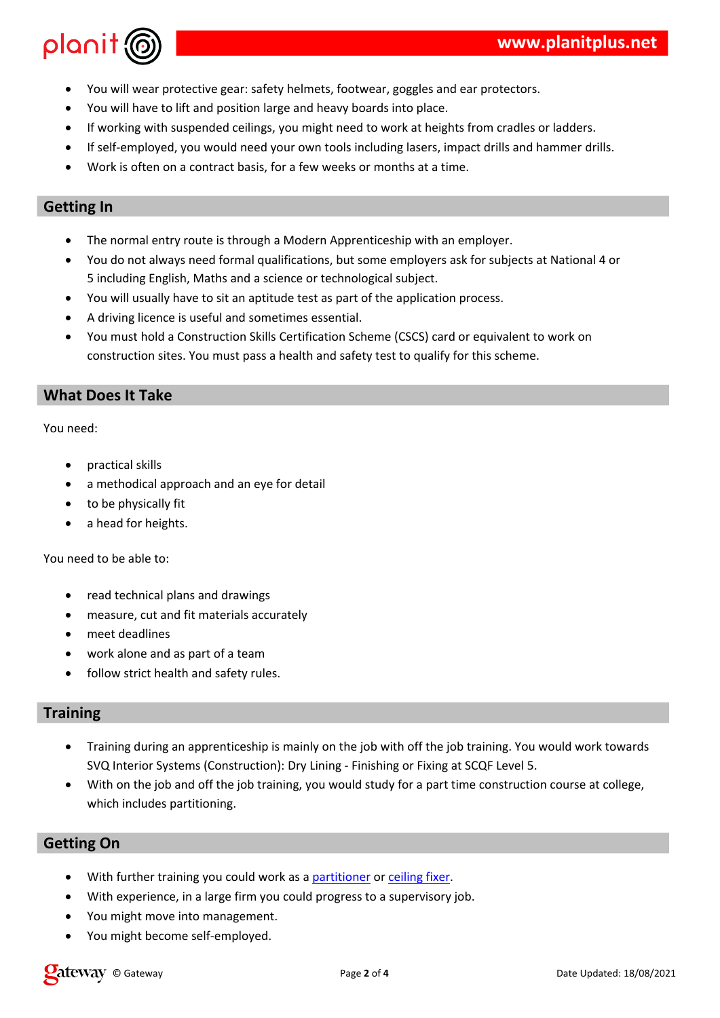| $\mathbf{I}$         |                        | &                         | %                                                          | $\mathbf{H}$ |         |                           |         |       | &                                     | $\#$                                     |         |
|----------------------|------------------------|---------------------------|------------------------------------------------------------|--------------|---------|---------------------------|---------|-------|---------------------------------------|------------------------------------------|---------|
| $\mathsf{I}$         | %                      |                           |                                                            |              | $\%$    |                           |         |       | & #                                   |                                          |         |
| $\sqrt{\phantom{a}}$ |                        |                           | $\&$                                                       | $\mathbf{H}$ |         |                           |         |       | & "                                   |                                          | $\#$    |
|                      | $1$ "                  |                           |                                                            |              |         | $\&$                      |         |       | $\mathbf{u}$<br>$\boldsymbol{\delta}$ |                                          | $#$ " " |
| $\ddot{ }$ ,         |                        | $\&$                      | $\&$                                                       |              |         | $\blacksquare$            |         | " $#$ |                                       |                                          |         |
|                      |                        |                           |                                                            |              |         |                           |         |       |                                       |                                          |         |
| \$                   | $\pmb{\shortparallel}$ |                           |                                                            |              | $\star$ | &                         |         |       | $\mathbf{H}_{\mathrm{eff}}$           | $\#$                                     |         |
| $\bar{V}$            |                        |                           | $"$ > $\&$                                                 |              |         | $\mathbf{H}$<br>$\sim$ 10 |         |       | (89)                                  |                                          | $\,6$   |
| $\boldsymbol{?}$     | $\&$                   | $^\text{\textregistered}$ | : 8                                                        | & &          |         |                           | & ( & # |       |                                       |                                          |         |
| $\bar{1}$            |                        | $\%$                      |                                                            |              |         |                           |         | &     | $\&$                                  | $\#$                                     |         |
| $\star$              | $\%$                   | & &                       | $\sim$ 10<br>$\mathbf{u} = \mathbf{u} \times \mathbf{u}$ . |              |         | #                         |         |       |                                       |                                          |         |
| $\mathbf{I}$         | $\mathbf H$            | $\overline{0}$            | 8. 0, 8. 8. 0, 0 &                                         |              |         |                           |         |       | %<br>$\geq$                           |                                          |         |
| &                    | $\&$                   | $\#$                      | Ħ                                                          |              |         |                           | $\,>$   |       |                                       | $\mathbf{u}_{\mathrm{eff}}$<br>$\#$<br>& |         |



 $\overline{\phantom{a}}$ 

 $\bar{1}$ 

| , AB           |   | $\mathbf{u}$ | $\Omega$ | $8 \leq 1$ | $\left($ "<br>C <sub>1</sub> | C. |     | #<br>$?$ , # $B C < \%$ |   |  |
|----------------|---|--------------|----------|------------|------------------------------|----|-----|-------------------------|---|--|
| $\bullet$<br>& | α |              |          |            |                              |    | " & | &                       | & |  |

|  | $\frac{1}{2}$ , $\frac{1}{2}$ , $\frac{1}{2}$ , $\frac{1}{2}$ , $\frac{1}{2}$ , $\frac{1}{2}$ , $\frac{1}{2}$ , $\frac{1}{2}$ , $\frac{1}{2}$ , $\frac{1}{2}$ , $\frac{1}{2}$ , $\frac{1}{2}$ , $\frac{1}{2}$ , $\frac{1}{2}$ , $\frac{1}{2}$ , $\frac{1}{2}$ , $\frac{1}{2}$ , $\frac{1}{2}$ , $\frac{1}{2}$ , $\frac{1}{2}$ , |  |  |  |  |
|--|---------------------------------------------------------------------------------------------------------------------------------------------------------------------------------------------------------------------------------------------------------------------------------------------------------------------------------|--|--|--|--|
|  | $\frac{1}{2}$ $\frac{1}{2}$ $\frac{1}{2}$ $\frac{1}{2}$ $\frac{1}{2}$ $\frac{1}{2}$ $\frac{1}{2}$ $\frac{1}{2}$ $\frac{1}{2}$ $\frac{1}{2}$ $\frac{1}{2}$ $\frac{1}{2}$ $\frac{1}{2}$ $\frac{1}{2}$ $\frac{1}{2}$ $\frac{1}{2}$ $\frac{1}{2}$ $\frac{1}{2}$ $\frac{1}{2}$ $\frac{1}{2}$ $\frac{1}{2}$ $\frac{1}{2}$             |  |  |  |  |
|  | $\cdot$ " & " 1 " #                                                                                                                                                                                                                                                                                                             |  |  |  |  |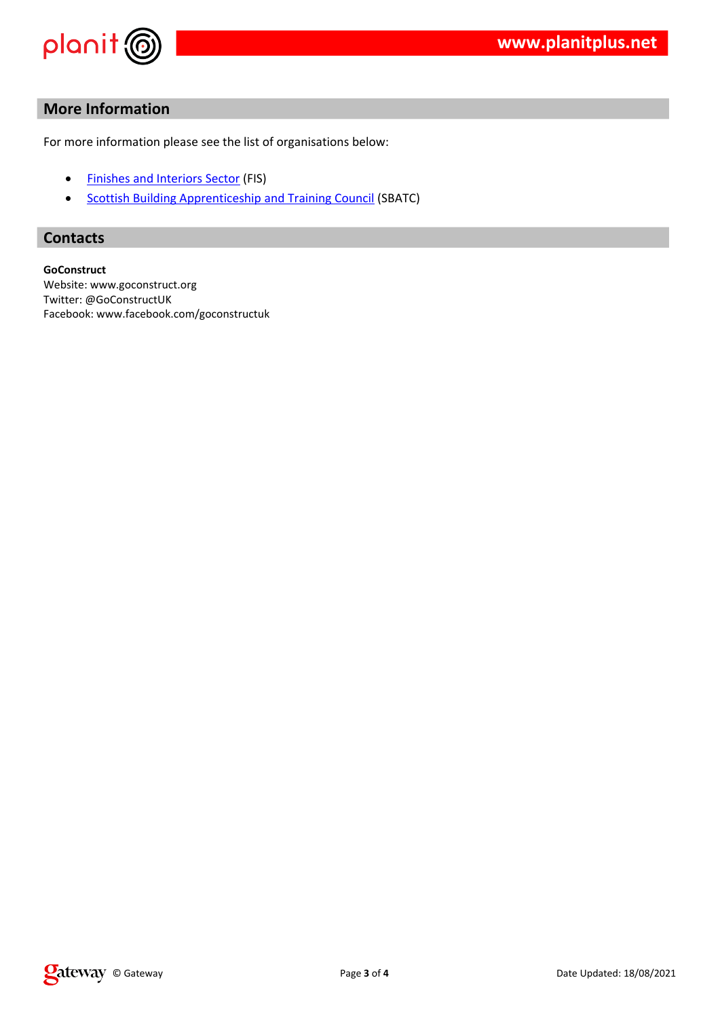|                  | $\mathbf{H}$                 |                                         |       |   |         |  |
|------------------|------------------------------|-----------------------------------------|-------|---|---------|--|
|                  |                              | $\mathbf{u}$                            |       |   |         |  |
| C                | $\mathbf{H}$                 |                                         |       |   |         |  |
|                  | $\overline{C}$               | $\star$                                 | C / R |   |         |  |
|                  | .8                           |                                         | 8     |   | 0, 8, 0 |  |
|                  | #                            |                                         |       |   |         |  |
|                  | $\#$                         |                                         |       |   |         |  |
| \$               | D<br>$\overline{\mathbf{0}}$ | & E                                     |       |   |         |  |
| $\mathsf C$<br>& | $\#$<br>&<br>$\#$            | & #<br>$+ 8$ "<br>$\boldsymbol{\delta}$ | &     | & |         |  |